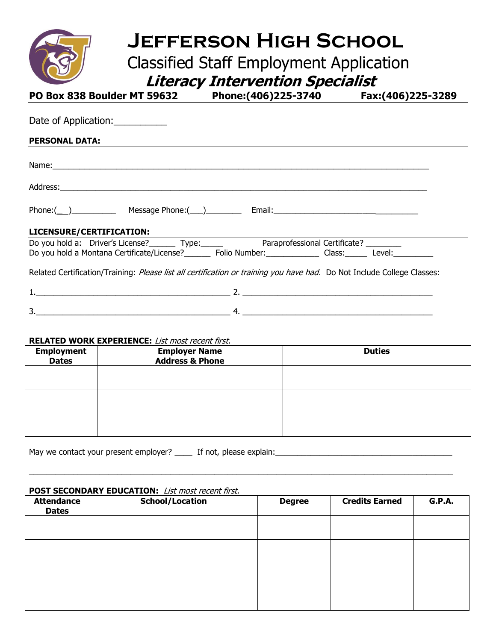

# **Jefferson High School**

Classified Staff Employment Application

| $\overline{\phantom{a}}$ | <b>Literacy Intervention Specialist</b> |                   |
|--------------------------|-----------------------------------------|-------------------|
| w 828 Roulder MT 50627.  | <b>Dhono://06\225_27/0</b>              | E3v://NG\775_27RQ |

| <u>FU DUX 0JO DUUNUCI I'II J90JZ FIIUIICI (TUUJZZJ-J/TU FIIAXI TUUJZZJ-JZO9</u>                                                                                                                                                 |                                                                                                                      |  |
|---------------------------------------------------------------------------------------------------------------------------------------------------------------------------------------------------------------------------------|----------------------------------------------------------------------------------------------------------------------|--|
| Date of Application:                                                                                                                                                                                                            |                                                                                                                      |  |
| <b>PERSONAL DATA:</b>                                                                                                                                                                                                           | <u> 1988 - Ann an Dùbhlachd ann an Dùbhlachd ann an Dùbhlachd ann an Dùbhlachd ann an Dùbhlachd ann an Dùbhlachd</u> |  |
| Name: Name: Name: Name: Name: Name: Name: Name: Name: Name: Name: Name: Name: Name: Name: Name: Name: Name: Name: Name: Name: Name: Name: Name: Name: Name: Name: Name: Name: Name: Name: Name: Name: Name: Name: Name: Name:   |                                                                                                                      |  |
|                                                                                                                                                                                                                                 |                                                                                                                      |  |
|                                                                                                                                                                                                                                 |                                                                                                                      |  |
| LICENSURE/CERTIFICATION: ______                                                                                                                                                                                                 |                                                                                                                      |  |
| Do you hold a: Driver's License? _________ Type: Paraprofessional Certificate? ________                                                                                                                                         |                                                                                                                      |  |
| Do you hold a Montana Certificate/License?<br>Folio Number: Class: Class: Level: Level: Level by Our Andrey License 2. Level and Folio Number: Level and Andrey Level and Andrey Level and Andrey Level and Andrey Level and An |                                                                                                                      |  |
| Related Certification/Training: Please list all certification or training you have had. Do Not Include College Classes:                                                                                                         |                                                                                                                      |  |
|                                                                                                                                                                                                                                 |                                                                                                                      |  |

#### **RELATED WORK EXPERIENCE:** List most recent first.

| <b>Employment</b><br><b>Dates</b> | <b>INCEATED WORK EXTERNENCE:</b> LISE MOSE FEED MISC.<br><b>Employer Name</b><br><b>Address &amp; Phone</b> | <b>Duties</b> |
|-----------------------------------|-------------------------------------------------------------------------------------------------------------|---------------|
|                                   |                                                                                                             |               |
|                                   |                                                                                                             |               |
|                                   |                                                                                                             |               |
|                                   |                                                                                                             |               |

 $3.$   $4.$ 

May we contact your present employer? \_\_\_\_ If not, please explain:\_\_\_\_\_\_\_\_\_\_\_\_\_\_\_\_\_\_\_\_\_\_\_\_\_\_\_\_\_\_\_\_\_\_\_\_\_\_\_\_

## **POST SECONDARY EDUCATION:** List most recent first.

| <b>Attendance</b><br><b>Dates</b> | <b>School/Location</b> | <b>Degree</b> | <b>Credits Earned</b> | <b>G.P.A.</b> |
|-----------------------------------|------------------------|---------------|-----------------------|---------------|
|                                   |                        |               |                       |               |
|                                   |                        |               |                       |               |
|                                   |                        |               |                       |               |
|                                   |                        |               |                       |               |

\_\_\_\_\_\_\_\_\_\_\_\_\_\_\_\_\_\_\_\_\_\_\_\_\_\_\_\_\_\_\_\_\_\_\_\_\_\_\_\_\_\_\_\_\_\_\_\_\_\_\_\_\_\_\_\_\_\_\_\_\_\_\_\_\_\_\_\_\_\_\_\_\_\_\_\_\_\_\_\_\_\_\_\_\_\_\_\_\_\_\_\_\_\_\_\_